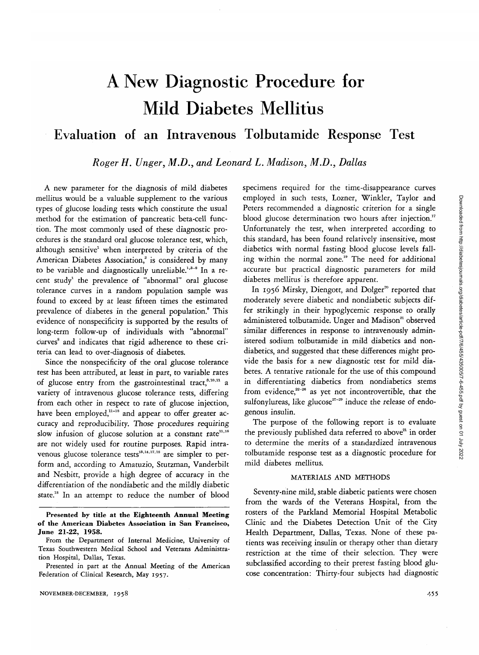# A New Diagnostic Procedure for **Mild Diabetes Mellitus**

# Evaluation of an Intravenous Tolbutamide Response Test

## *Roger H. Unger, M.D., and Leonard L. Madison, M.D., Dallas*

A new parameter for the diagnosis of mild diabetes mellitus would be a valuable supplement to the various types of glucose loading tests which constitute the usual method for the estimation of pancreatic beta-cell function. The most commonly used of these diagnostic procedures is the standard oral glucose tolerance test, which, although sensitive<sup>1</sup> when interpreted by criteria of the American Diabetes Association,<sup>2</sup> is considered by many to be variable and diagnostically unreliable.<sup>1,3-8</sup> In a recent study<sup>1</sup> the prevalence of "abnormal" oral glucose tolerance curves in a random population sample was found to exceed by at least fifteen times the estimated prevalence of diabetes in the general population.<sup>8</sup> This evidence of nonspecificity is supported by the results of long-term follow-up of individuals with "abnormal" curves<sup>8</sup> and indicates that rigid adherence to these criteria can lead to over-diagnosis of diabetes.

Since the nonspecificity of the oral glucose tolerance test has been attributed, at least in part, to variable rates of glucose entry from the gastrointestinal tract,  $3,10,11$  a variety of intravenous glucose tolerance tests, differing from each other in respect to rate of glucose injection, have been employed,<sup>11-18</sup> and appear to offer greater accuracy and reproducibility. Those procedures requiring slow infusion of glucose solution at a constant rate<sup>11,16</sup> are not widely used for routine purposes. Rapid intravenous glucose tolerance tests $^{13,14,17,18}$  are simpler to perform and, according to Amatuzio, Stutzman, Vanderbilt and Nesbitt, provide a high degree of accuracy in the differentiation of the nondiabetic and the mildly diabetic state.<sup>18</sup> In an attempt to reduce the number of blood

specimens required for the time-disappearance curves employed in such tests, Lozner, Winkler, Taylor and Peters recommended a diagnostic criterion for a single blood glucose determination two hours after injection.<sup>17</sup> Unfortunately the test, when interpreted according to this standard, has been found relatively insensitive, most diabetics with normal fasting blood glucose levels falling within the normal zone.<sup>10</sup> The need for additional accurate but practical diagnostic parameters for mild diabetes mellitus is therefore apparent.

In 1956 Mirsky, Diengott, and Dolger<sup>20</sup> reported that moderately severe diabetic and nondiabetic subjects differ strikingly in their hypoglycemic response to orally administered tolbutamide. Unger and Madison<sup>21</sup> observed similar differences in response to intravenously administered sodium tolbutamide in mild diabetics and nondiabetics, and suggested that these differences might provide the basis for a new diagnostic test for mild diabetes. A tentative rationale for the use of this compound in differentiating diabetics from nondiabetics stems from evidence,<sup>22-26</sup> as yet not incontrovertible, that the sulfonylureas, like glucose<sup>27-29</sup> induce the release of endogenous insulin.

The purpose of the following report *is* to evaluate the previously published data referred to above<sup>21</sup> in order to determine the merits of a standardized intravenous tolbutamide response test as a diagnostic procedure for mild diabetes mellitus.

#### MATERIALS AND METHODS

Seventy-nine mild, stable diabetic patients were chosen from the wards of the Veterans Hospital, from the rosters of the Parkland Memorial Hospital Metabolic Clinic and the Diabetes Detection Unit of the City Health Department, Dallas, Texas. None of these patients was receiving insulin or therapy other than dietary restriction at the time of their selection. They were subclassified according to their pretest fasting blood glucose concentration: Thirty-four subjects had diagnostic

Presented by title at the Eighteenth Annual Meeting of the American Diabetes Association in San Francisco, June 21-22, 1958.

From the Department of Internal Medicine, University of Texas Southwestern Medical School and Veterans Administration Hospital, Dallas, Texas.

Presented in part at the Annual Meeting of the American Federation of Clinical Research, May 1957.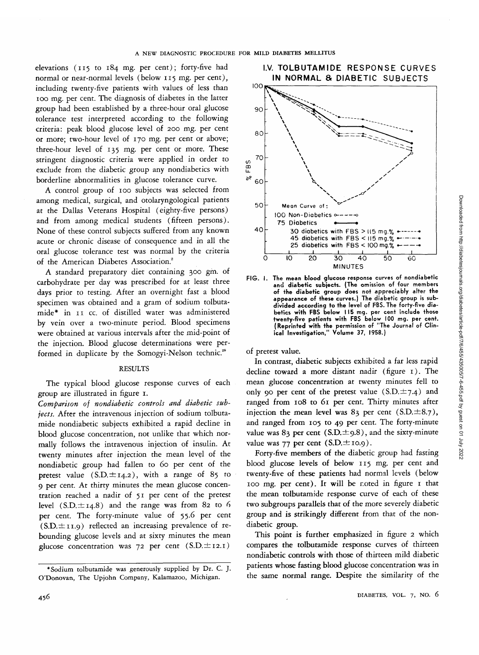elevarions (115 to 184 mg. per cent); forty-five had normal or near-normal levels (below 115 mg. per cent), including twenty-five patients with values of less than 100 mg. per cent. The diagnosis of diabetes in the latter group had been established by a three-hour oral glucose tolerance test interpreted according to the following criteria: peak blood glucose level of 200 mg. per cent or more; two-hour level of 170 mg. per cent or above; three-hour level of 135 mg. per cent or more. These stringent diagnostic criteria were applied in order to exclude from the diabetic group any nondiabetics with borderline abnormalities in glucose tolerance curve.

A control group of 100 subjects was selected from among medical, surgical, and otolaryngological patients at the Dallas Veterans Hospital (eighty-five persons) and from among medical students (fifteen persons). None of these control subjects suffered from any known acute or chronic disease of consequence and in all the oral glucose tolerance test was normal by the criteria of the American Diabetes Association.<sup>2</sup>

A standard preparatory diet containing 300 gm. of carbohydrate per day was prescribed for at least three days prior to testing. After an overnight fast a blood specimen was obtained and a gram of sodium tolbutamide\* in 11 cc. of distilled water was administered by vein over a two-minute period. Blood specimens were obtained at various intervals after the mid-point of the injection. Blood glucose determinations were performed in duplicate by the Somogyi-Nelson technic.<sup>29</sup>

#### RESULTS

The typical blood glucose response curves of each group are illustrated in figure 1.

*Comparison of nondiabetic controls and diabetic subjects.* After the intravenous injection of sodium tolbutamide nondiabetic subjects exhibited a rapid decline in blood glucose concentration, not unlike that which normally follows the intravenous injection of insulin. At twenty minutes after injection the mean level of the nondiabetic group had fallen to 60 per cent of the pretest value  $(S.D. \pm 14.2)$ , with a range of 85 to 9 per cent. At thirty minutes the mean glucose concentration reached a nadir of 51 per cent of the pretest level  $(S.D. \pm 14.8)$  and the range was from 82 to 6 per cent. The forty-minute value of 55.6 per cent  $(S.D. \pm 11.9)$  reflected an increasing prevalence of rebounding glucose levels and at sixty minutes the mean glucose concentration was 72 per cent  $(S.D. \pm 12.1)$ 



I.V. TOLBUTAMIDE RESPONSE CURVES

FIG. I. The mean blood glucose response curves of nondiabetic and diabetic subjects. (The omission of four members of the diabetic group does not appreciably alter the appearance of these curves.) The diabetic group is subdivided according to the level of FBS. The forty-five diabetics with FBS below 115 mg. per cent include those twenty-five patients with FBS below 100 mg. per cent. (Reprinted with the permission of "The Journal of Clinical Investigation," Volume 37, 1958.)

of pretest value.

In contrast, diabetic subjects exhibited a far less rapid decline toward a more distant nadir (figure i). The mean glucose concentration at twenty minutes fell to only 90 per cent of the pretest value  $(S.D. \pm 7.4)$  and ranged from 108 to 61 per cent. Thirty minutes after injection the mean level was 83 per cent  $(S.D. \pm 8.7)$ , and ranged from 105 to 49 per cent. The forty-minute value was 83 per cent  $(S.D. \pm 9.8)$ , and the sixty-minute value was  $77$  per cent  $(S.D. \pm 10.9)$ .

Forty-five members of the diabetic group had fasting blood glucose levels of below 115 mg. per cent and twenty-five of these patients had normal levels (below 100 mg. per cent). It will be noted in figure 1 that the mean tolbutamide response curve of each of these two subgroups parallels that of the more severely diabetic group and is strikingly different from that of the nondiabetic group.

This point is further emphasized in figure 2 which compares the tolbutamide response curves of thirteen nondiabetic controls with those of thirteen mild diabetic patients whose fasting blood glucose concentration was in the same normal range. Despite the similarity of the

<sup>\*</sup> Sodium tolbutamide was generously supplied by Dr. C. J. O'Donovan, The Upjohn Company, Kalamazoo, Michigan.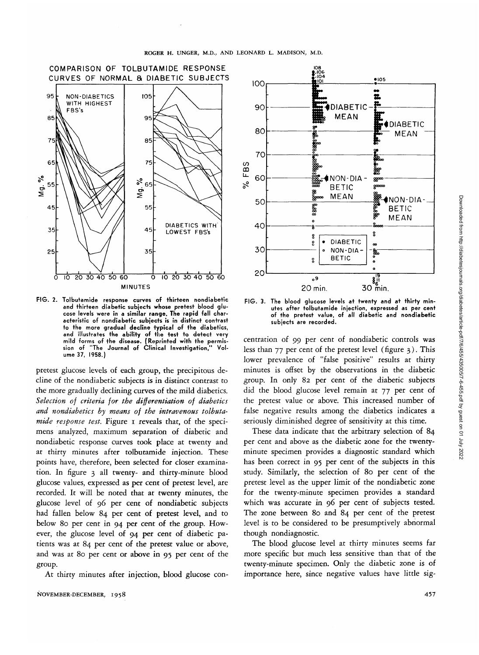

FIG. 2. Tolbutamide response curves of thirteen nondiabetic and thirteen diabetic subjects whose pretest blood glucose levels were in a similar range. The rapid fall characteristic of nondiabetic subjects is in distinct contrast to the more gradual decline typical of the diabetics, and illustrates the ability of the test to detect very mild forms of the disease. (Reprinted with the permission of "The Journal of Clinical Investigation," Volume 37, 1958.)

pretest glucose levels of each group, the precipitous decline of the nondiabetic subjects is in distinct contrast to the more gradually declining curves of the mild diabetics. *Selection of criteria for the differentiation of diabetics and nondiabetics by means of the intravenous tolbutamide response test.* Figure i reveals that, of the specimens analyzed, maximum separation of diabetic and nondiabetic response curves took place at twenty and at thirty minutes after tolbutamide injection. These points have, therefore, been selected for closer examination. In figure 3 all twenty- and thirty-minute blood glucose values, expressed as per cent of pretest level, are recorded. It will be noted that at twenty minutes, the glucose level of 96 per cent of nondiabetic subjects had fallen below 84 per cent of pretest level, and to below 80 per cent in 94 per cent of the group. However, the glucose level of 94 per cent of diabetic patients was at 84 per cent of the pretest value or above, and was at 80 per cent or above in 95 per cent of the group.

At thirty minutes after injection, blood glucose con-



FIG. 3. The blood glucose levels at twenty and at thirty minutes after tolbutamide injection, expressed as per cent of the pretest value, of all diabetic and nondiabetic subjects are recorded.

centration of 99 per cent of nondiabetic controls was less than 77 per cent of the pretest level (figure 3). This lower prevalence of "false positive" results at thirty minutes is offset by the observations in the diabetic group. In only 82 per cent of the diabetic subjects did the blood glucose level remain at 77 per cent of the pretest value or above. This increased number of false negative results among the diabetics indicates a seriously diminished degree of sensitivity at this time.

These data indicate that the arbitrary selection of 84 per cent and above as the diabetic zone for the twentyminute specimen provides a diagnostic standard which has been correct in 95 per cent of the subjects in this study. Similarly, the selection of 80 per cent of the pretest level as the upper limit of the nondiabetic zone for the twenty-minute specimen provides a standard which was accurate in 96 per cent of subjects tested. The zone between 80 and 84 per cent of the pretest level is to be considered to be presumptively abnormal though nondiagnostic.

The blood glucose level at thirty minutes seems far more specific but much less sensitive than that of the twenty-minute specimen. Only the diabetic zone is of importance here, since negative values have little sig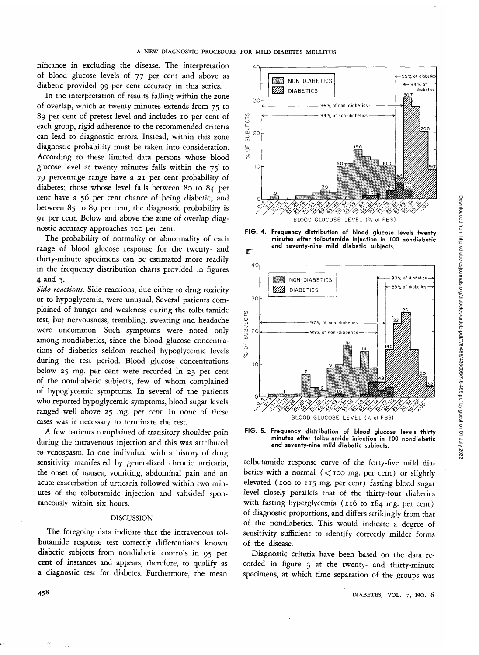nificance in excluding the disease. The interpretation of blood glucose levels of 77 per cent and above as diabetic provided 99 per cent accuracy in this series.

In the interpretation of results falling within the zone of overlap, which at twenty minutes extends from 75 to 89 per cent of pretest level and includes 10 per cent of each group, rigid adherence to the recommended criteria can lead to diagnostic errors. Instead, within this zone diagnostic probability must be taken into consideration. According to these limited data persons whose blood glucose level at twenty minutes falls within the 75 to 79 percentage range have a 21 per cent probability of diabetes; those whose level falls between 80 to 84 per cent have a 56 per cent chance of being diabetic; and between 85 to 89 per cent, the diagnostic probability is 91 per cent. Below and above the zone of overlap diagnostic accuracy approaches 100 per cent.

The probability of normality or abnormality of each range of blood glucose response for the twenty- and thirty-minute specimens can be estimated more readily in the frequency distribution charts provided in figures 4 and 5.

*Side reactions.* Side reactions, due either to drug toxicity or to hypoglycemia, were unusual. Several patients complained of hunger and weakness during the tolbutamide test, but nervousness, trembling, sweating and headache were uncommon. Such symptoms were noted only among nondiabetics, since the blood glucose concentrations of diabetics seldom reached hypoglycemic levels during the test period. Blood glucose concentrations below 25 mg. per cent were recorded in 23 per cent of the nondiabetic subjects, few of whom complained of hypoglycemic symptoms. In several of the patients who reported hypoglycemic symptoms, blood sugar levels ranged well above 25 mg. per cent. In none of these cases was it necessary to terminate the test.

A few patients complained of transitory shoulder pain during the intravenous injection and this was attributed to venospasm. In one individual with a history of drug sensitivity manifested by generalized chronic urticaria, the onset of nausea, vomiting, abdominal pain and an acute exacerbation of urticaria followed within two minutes of the tolbutamide injection and subsided spontaneously within six hours.

#### DISCUSSION

The foregoing data indicate that the intravenous tolbutamide response test correctly differentiates known diabetic subjects from nondiabetic controls in 95 per **cent** of instances and appears, therefore, to qualify as a diagnostic test for diabetes. Furthermore, the mean



**FIG. 4. Frequency distribution of blood glucose levels twenty minutes after tolbutamide injection in 100 nondiabetic and seventy-nine mild diabetic subjects.**  $\epsilon$ 



**FIG. 5. Frequency distribution of blood glucose levels thirty minutes after tolbutamide injection in 100 nondiabetic and seventy-nine mild diabetic subjects.**

tolbutamide response curve of the forty-five mild diabetics with a normal  $(<$  100 mg. per cent) or slightly elevated (ioo to 115 mg. per cent) fasting blood sugar level closely parallels that of the thirty-four diabetics with fasting hyperglycemia (116 to 184 mg. per cent) of diagnostic proportions, and differs strikingly from that of the nondiabetics. This would indicate a degree of sensitivity sufficient to identify correctly milder forms of the disease.

Diagnostic criteria have been based on the data recorded in figure 3 at the twenty- and thirty-minute specimens, at which time separation of the groups was

**458**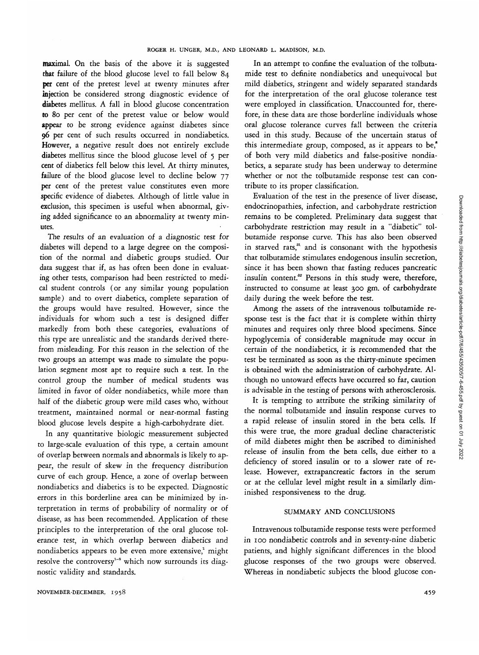maximal. On the basis of the above it is suggested that failure of the blood glucose level to fall below  $84$ per cent of the pretest level at twenty minutes after injection be considered strong diagnostic evidence of diabetes mellitus. A fall in blood glucose concentration fto 80 per cent of the pretest value or below would appear to be strong evidence against diabetes since 96 per cent of such results occurred in nondiabetics. However, a negative result does not entirely exclude diabetes mellitus since the blood glucose level of 5 per cent of diabetics fell below this level. At thirty minutes, failure of the blood glucose level to decline below 77 per cent of the pretest value constitutes even more specific evidence of diabetes. Although of little value in exclusion, this specimen is useful when abnormal, giving added significance to an abnormality at twenty minutes.

The results of an evaluation of a diagnostic test for diabetes will depend to a large degree on the composition of the normal and diabetic groups studied. Our data suggest that if, as has often been done in evaluating other tests, comparison had been restricted to medical student controls (or any similar young population sample) and to overt diabetics, complete separation of the groups would have resulted. However, since the individuals for whom such a test is designed differ markedly from both these categories, evaluations of this type are unrealistic and the standards derived therefrom misleading. For this reason in the selection of the two groups an attempt was made to simulate the population segment most apt to require such a test. In the control group the number of medical students was limited in favor of older nondiabetics, while more than half of the diabetic group were mild cases who, without treatment, maintained normal or near-normal fasting blood glucose levels despite a high-carbohydrate diet.

In any quantitative biologic measurement subjected to large-scale evaluation of this type, a certain amount of overlap between normals and abnormals is likely to appear, the result of skew in the frequency distribution curve of each group. Hence, a zone of overlap between nondiabetics and diabetics is to be expected. Diagnostic errors in this borderline area can be minimized by interpretation in terms of probability of normality or of disease, as has been recommended. Application of these principles to the interpretation of the oral glucose tolerance test, in which overlap between diabetics and nondiabetics appears to be even more extensive,<sup>1</sup> might  $r$ esolve the controversy<sup>1-8</sup> which now surrounds its diagnostic validity and standards.

In an attempt to confine the evaluation of the tolbutamide test to definite nondiabetics and unequivocal but mild diabetics, stringent and widely separated standards for the interpretation of the oral glucose tolerance test were employed in classification. Unaccounted for, therefore, in these data are those borderline individuals whose oral glucose tolerance curves fall between the criteria used in this study. Because of the uncertain status of this intermediate group, composed, as it appears to be," of both very mild diabetics and false-positive nondiabetics, a separate study has been underway to determine whether or not the tolbutamide response test can contribute to its proper classification.

Evaluation of the test in the presence of liver disease, endocrinopathies, infection, and carbohydrate restriction remains to be completed. Preliminary data suggest that carbohydrate restriction may result in a "diabetic" tolbutamide response curve. This has also been observed in starved rats,<sup>31</sup> and is consonant with the hypothesis that tolbutamide stimulates endogenous insulin secretion, since it has been shown that fasting reduces pancreatic insulin content.<sup>32</sup> Persons in this study were, therefore, instructed to consume at least 300 gm. of carbohydrate daily during the week before the test.

Among the assets of the intravenous tolbutamide response test is the fact that it is complete within thirty minutes and requires only three blood specimens. Since hypoglycemia of considerable magnitude may occur in certain of the nondiabetics, it is recommended that the test be terminated as soon as the thirty-minute specimen is obtained with the administration of carbohydrate. Although no untoward effects have occurred so far, caution is advisable in the testing of persons with atherosclerosis.

It is tempting to attribute the striking similarity of the normal tolbutamide and insulin response curves to a rapid release of insulin stored in the beta cells. If this were true, the more gradual decline characteristic of mild diabetes might then be ascribed to diminished release of insulin from the beta cells, due either to a deficiency of stored insulin or to a slower rate of release. However, extrapancreatic factors in the serum or at the cellular level might result in a similarly diminished responsiveness to the drug.

### SUMMARY AND CONCLUSIONS

Intravenous tolbutamide response tests were performed in 100 nondiabetic controls and in seventy-nine diabetic patients, and highly significant differences in the blood glucose responses of the two groups were observed. Whereas in nondiabetic subjects the blood glucose conDownloaded from http://diabetesjournals.org/diabetes/article-pdf/7/6/455/435005/7-6-455.pdf by guest on 01 July 2022 Downloaded from http://diabetesjournals.org/diabetes/article-pdf/7/6/455/435005/7-6-455.pdf by guest on 01 July 2022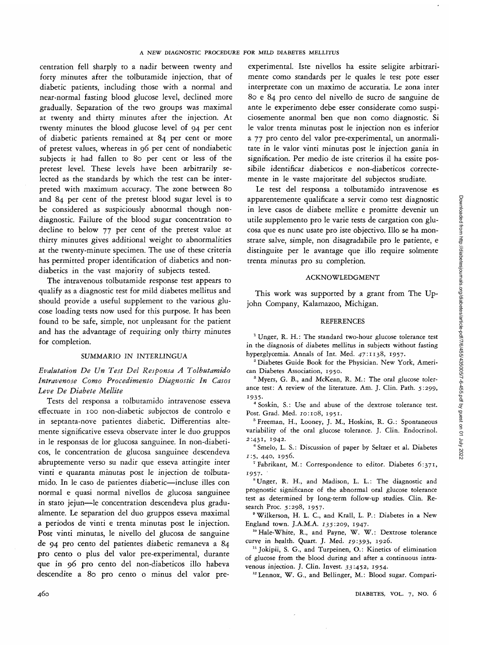centration fell sharply to a nadir between twenty and forty minutes after the tolbutamide injection, that of diabetic patients, including those with a normal and near-normal fasting blood glucose level, declined more gradually. Separation of the two groups was maximal at twenty and thirty minutes after the injection. At twenty minutes the blood glucose level of 94 per cent of diabetic patients remained at 84 per cent or more of pretest values, whereas in 96 per cent of nondiabetic subjects it had fallen to 80 per cent or less of the pretest level. These levels have been arbitrarily selected as the standards by which the test can be interpreted with maximum accuracy. The zone between 80 and 84 per cent of the pretest blood sugar level is to be considered as suspiciously abnormal though nondiagnostic. Failure of the blood sugar concentration to decline to below 77 per cent of the pretest value at thirty minutes gives additional weight to abnormalities at the twenty-minute specimen. The use of these criteria has permitted proper identification of diabetics and nondiabetics in the vast majority of subjects tested.

The intravenous tolbutamide response test appears to qualify as a diagnostic test for mild diabetes mellitus and should provide a useful supplement to the various glucose loading tests now used for this purpose. It has been found to be safe, simple, not unpleasant for the patient and has the advantage of requiring only thirty minutes for completion.

#### SUMMARIO IN INTERLINGUA

*Evalutation De Un Test Del Responsa A Tolbutamido Intravenose Como Procedimento Diagnostic In Casos Leve De Diabete Mellite*

Tests del responsa a tolbutamido intravenose esseva effectuate in 100 non-diabetic subjectos de controlo e in septanta-nove patientes diabetic. Differentias altemente significative esseva observate inter le duo gruppos in le responsas de lor glucosa sanguinee. In non-diabeticos, le concentration de glucosa sanguinee descendeva abruptemente verso su nadir que esseva attingite inter vinti e quaranta minutas post le injection de tolbutamido. In le caso de patientes diabetic—incluse illes con normal e quasi normal nivellos de glucosa sanguinee in stato jejun—le concentration descendeva plus gradualmente. Le separation del duo gruppos esseva maximal a periodos de vinti e trenta minutas post le injection. Post vinti minutas, le nivello del glucosa de sanguine de 94 pro cento del patientes diabetic remaneva a 84 pro cento o plus del valor pre-experimental, durante que in 96 pro cento del non-diabeticos illo habeva descendite a 80 pro cento o minus del valor preexperimental. Iste nivellos ha essite seligite arbitrarimente como standards per le quales le test pote esser interpretate con un maximo de accuratia. Le zona inter 80 e 84 pro cento del nivello de sucro de sanguine de ante le experimento debe esser considerate como suspiciosemente anormal ben que non como diagnostic. Si le valor trenta minutas post le injection non es inferior a 77 pro cento del valor pre-experimental, un anormalitate in le valor vinti minutas post le injection gania in signification. Per medio de iste criterios il ha essite possibile identificar diabeticos e non-diabeticos correctemente in le vaste majoritate del subjectos studiate.

Le test del responsa a tolbutamido intravenose es apparentemente qualificate a servir como test diagnostic in leve casos de diabete mellite e promitte devenir un utile supplemento pro le varie tests de cargation con glucosa que es nunc usate pro iste objectivo. Illo se ha monstrate salve, simple, non disagradabile pro le patiente, e distinguite per le avantage que illo require solmente trenta minutas pro su completion.

#### ACKNOWLEDGMENT

This work was supported by a grant from The Upjohn Company, Kalamazoo, Michigan.

#### **REFERENCES**

<sup>1</sup> Unger, R. H.: The standard two-hour glucose tolerance test in the diagnosis of diabetes mellitus in subjects without fasting hyperglycemia. Annals of Int. Med. 47:1138, 1957. <sup>2</sup>

 Diabetes Guide Book for the Physician. New York, American Diabetes Association, 1950.

<sup>3</sup> Myers, G. B., and McKean, R. M.: The oral glucose tolerance test: A review of the literature. Am. J. Clin. Path. 5:299, 1935-

*\** Soskin, S.: Use and abuse of the dextrose tolerance test. Post. Grad. Med. 10:108, 1951.

<sup>5</sup> Freeman, H., Looney, J. M., Hoskins, R. G.: Spontaneous variability of the oral glucose tolerance. J. Clin. Endocrinol. 2:431, 1942. <sup>8</sup>

<sup>6</sup> Smelo, L. S.: Discussion of paper by Seltzer et al. Diabetes 1:5, 440, 1956. <sup>7</sup>

<sup>7</sup> Fabrikant, M.: Correspondence to editor. Diabetes  $6:371$ , 1957.

 Unger, R. H., and Madison, L. L.: The diagnostic and prognostic significance of the abnormal oral glucose tolerance test as determined by long-term follow-up studies. Clin. Research Proc. 5:298, 1957.

<sup>9</sup> Wilkerson, H. L. C., and Krall, L. P.: Diabetes in a New England town. J.A.M.A. 135:209, 1947.

<sup>10</sup> Hale-White, R., and Payne, W. W.: Dextrose tolerance curve in health. Quart. J. Med. 19:393, 1926.

<sup>11</sup> Jokipii, S. G., and Turpeinen, O.: Kinetics of elimination of glucose from the blood during and after a continuous intravenous injection. J. Clin. Invest.  $33:452$ , 1954.

<sup>12</sup> Lennox, W. G., and Bellinger, M.: Blood sugar. Compari-